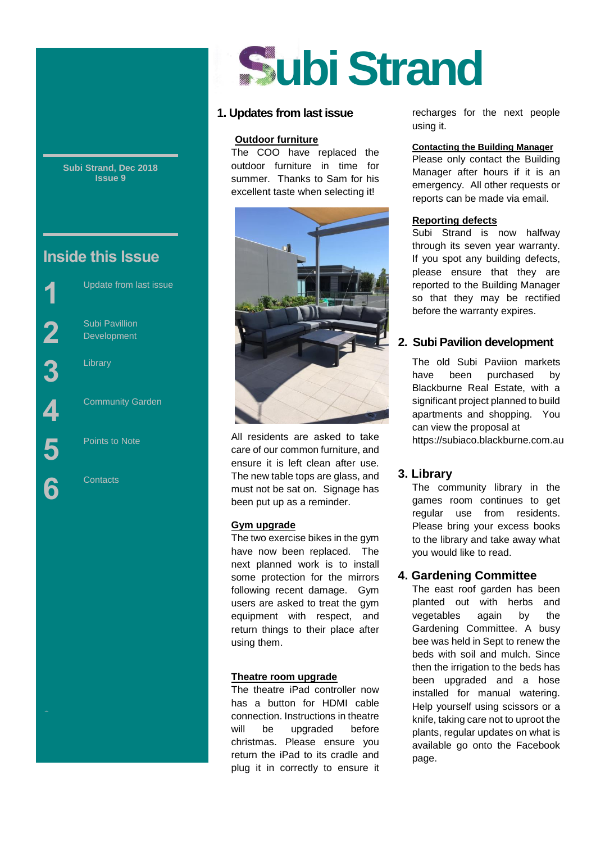**Subi Strand, Dec 2018 Issue 9**

# **Inside this Issue**

Subi Pavillion Development

Library

Street

Community Garden

Update from last issue

Points to Note

**Contacts** 

# **ubi Strand**

## **1. Updates from last issue**

#### **Outdoor furniture**

The COO have replaced the outdoor furniture in time for summer. Thanks to Sam for his excellent taste when selecting it!



All residents are asked to take care of our common furniture, and ensure it is left clean after use. The new table tops are glass, and must not be sat on. Signage has been put up as a reminder.

#### **Gym upgrade**

The two exercise bikes in the gym have now been replaced. The next planned work is to install some protection for the mirrors following recent damage. Gym users are asked to treat the gym equipment with respect, and return things to their place after using them.

#### **Theatre room upgrade**

The theatre iPad controller now has a button for HDMI cable connection. Instructions in theatre will be upgraded before christmas. Please ensure you return the iPad to its cradle and plug it in correctly to ensure it recharges for the next people using it.

#### **Contacting the Building Manager**

Please only contact the Building Manager after hours if it is an emergency. All other requests or reports can be made via email.

#### **Reporting defects**

Subi Strand is now halfway through its seven year warranty. If you spot any building defects, please ensure that they are reported to the Building Manager so that they may be rectified before the warranty expires.

# **2. Subi Pavilion development**

The old Subi Paviion markets have been purchased by Blackburne Real Estate, with a significant project planned to build apartments and shopping. You can view the proposal at https://subiaco.blackburne.com.au

# **3. Library**

The community library in the games room continues to get regular use from residents. Please bring your excess books to the library and take away what you would like to read.

# **4. Gardening Committee**

The east roof garden has been planted out with herbs and vegetables again by the Gardening Committee. A busy bee was held in Sept to renew the beds with soil and mulch. Since then the irrigation to the beds has been upgraded and a hose installed for manual watering. Help yourself using scissors or a knife, taking care not to uproot the plants, regular updates on what is available go onto the Facebook page.